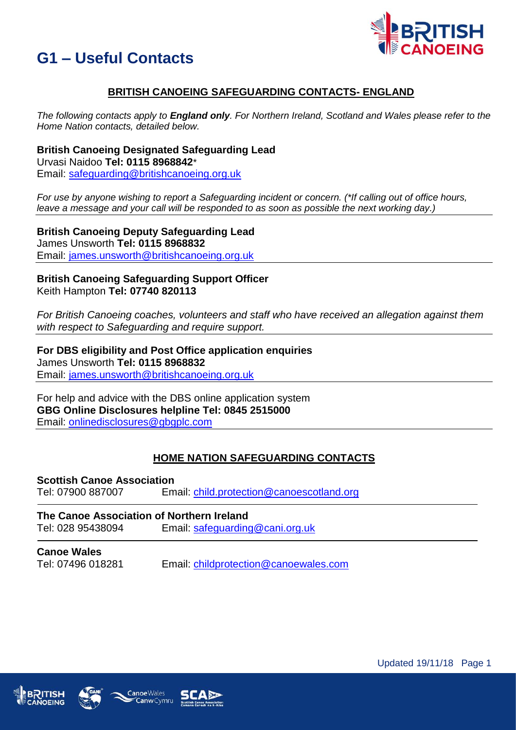



# **BRITISH CANOEING SAFEGUARDING CONTACTS- ENGLAND**

*The following contacts apply to England only. For Northern Ireland, Scotland and Wales please refer to the Home Nation contacts, detailed below.* 

**British Canoeing Designated Safeguarding Lead** Urvasi Naidoo **Tel: 0115 8968842**\* Email: [safeguarding@britishcanoeing.org.uk](mailto:safeguarding@britishcanoeing.org.uk)

*For use by anyone wishing to report a Safeguarding incident or concern. (\*If calling out of office hours, leave a message and your call will be responded to as soon as possible the next working day.)* 

**British Canoeing Deputy Safeguarding Lead** James Unsworth **Tel: 0115 8968832** Email: [james.unsworth@britishcanoeing.org.uk](mailto:james.unsworth@britishcanoeing.org.uk)

#### **British Canoeing Safeguarding Support Officer** Keith Hampton **Tel: 07740 820113**

*For British Canoeing coaches, volunteers and staff who have received an allegation against them with respect to Safeguarding and require support.*

**For DBS eligibility and Post Office application enquiries** James Unsworth **Tel: 0115 8968832** Email: [james.unsworth@britishcanoeing.org.uk](mailto:james.unsworth@britishcanoeing.org.uk)

For help and advice with the DBS online application system **GBG Online Disclosures helpline Tel: 0845 2515000** Email: [onlinedisclosures@gbgplc.com](mailto:onlinedisclosures@gbgplc.com)

## **HOME NATION SAFEGUARDING CONTACTS**

**Scottish Canoe Association** Tel: 07900 887007 Email: [child.protection@canoescotland.org](mailto:child.protection@canoescotland.org)

**The Canoe Association of Northern Ireland** Tel: 028 95438094 Email: [safeguarding@cani.org.uk](mailto:safeguarding@cani.org.uk)

**Canoe Wales** Tel: 07496 018281 Email: [childprotection@canoewales.com](mailto:childprotection@canoewales.com)